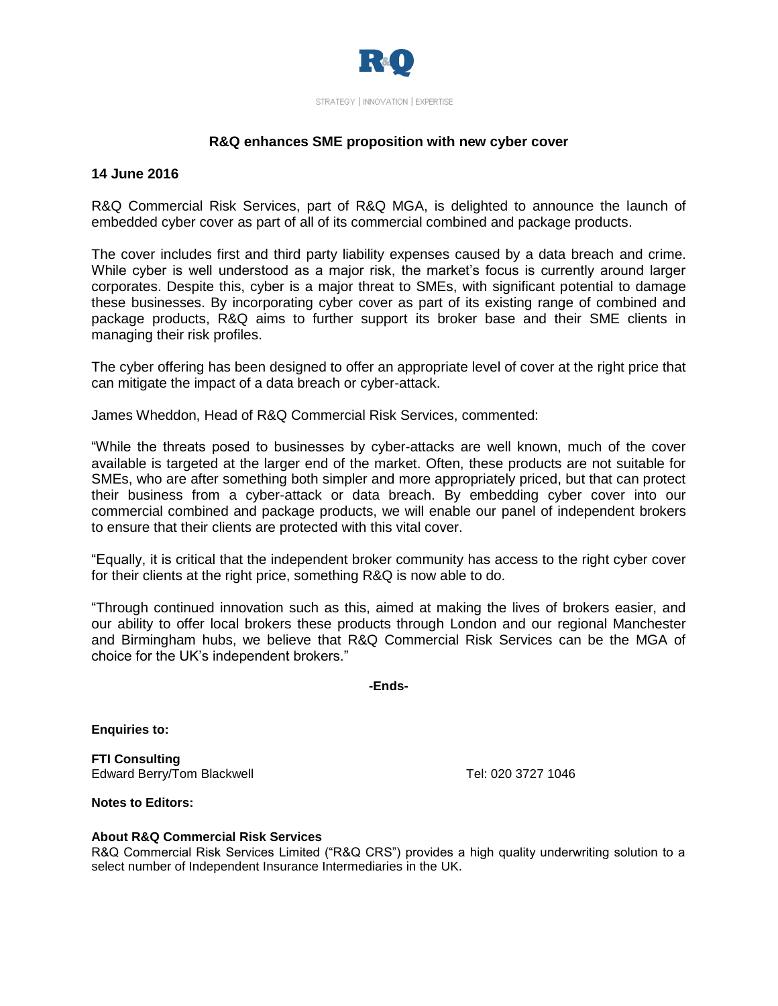

## **R&Q enhances SME proposition with new cyber cover**

## **14 June 2016**

R&Q Commercial Risk Services, part of R&Q MGA, is delighted to announce the launch of embedded cyber cover as part of all of its commercial combined and package products.

The cover includes first and third party liability expenses caused by a data breach and crime. While cyber is well understood as a major risk, the market's focus is currently around larger corporates. Despite this, cyber is a major threat to SMEs, with significant potential to damage these businesses. By incorporating cyber cover as part of its existing range of combined and package products, R&Q aims to further support its broker base and their SME clients in managing their risk profiles.

The cyber offering has been designed to offer an appropriate level of cover at the right price that can mitigate the impact of a data breach or cyber-attack.

James Wheddon, Head of R&Q Commercial Risk Services, commented:

"While the threats posed to businesses by cyber-attacks are well known, much of the cover available is targeted at the larger end of the market. Often, these products are not suitable for SMEs, who are after something both simpler and more appropriately priced, but that can protect their business from a cyber-attack or data breach. By embedding cyber cover into our commercial combined and package products, we will enable our panel of independent brokers to ensure that their clients are protected with this vital cover.

"Equally, it is critical that the independent broker community has access to the right cyber cover for their clients at the right price, something R&Q is now able to do.

"Through continued innovation such as this, aimed at making the lives of brokers easier, and our ability to offer local brokers these products through London and our regional Manchester and Birmingham hubs, we believe that R&Q Commercial Risk Services can be the MGA of choice for the UK's independent brokers."

**-Ends-**

**Enquiries to:**

**FTI Consulting** Edward Berry/Tom Blackwell **Tel: 020 3727 1046** 

**Notes to Editors:**

## **About R&Q Commercial Risk Services**

R&Q Commercial Risk Services Limited ("R&Q CRS") provides a high quality underwriting solution to a select number of Independent Insurance Intermediaries in the UK.